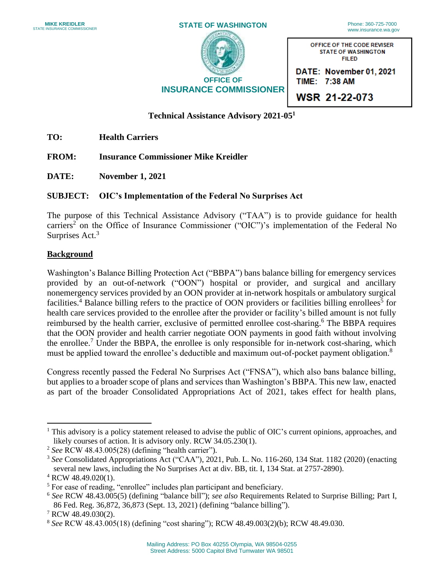| <b>MIKE KREIDLER</b><br><b>STATE INSURANCE COMMISSIONER</b> | <b>STATE OF WASHINGTON</b>    | Phone: 360-725-7000<br>www.insurance.wa.gov                              |
|-------------------------------------------------------------|-------------------------------|--------------------------------------------------------------------------|
|                                                             |                               | OFFICE OF THE CODE REVISER<br><b>STATE OF WASHINGTON</b><br><b>FILED</b> |
|                                                             | <b>OFFICE OF</b>              | DATE: November 01, 2021<br>TIME: 7:38 AM                                 |
|                                                             | <b>INSURANCE COMMISSIONER</b> | WSR 21-22-073                                                            |

**WSR 21-22-073** 

## **Technical Assistance Advisory 2021-051**

**TO: Health Carriers** 

**FROM: Insurance Commissioner Mike Kreidler** 

**DATE: November 1, 2021** 

# **SUBJECT: OIC's Implementation of the Federal No Surprises Act**

 The purpose of this Technical Assistance Advisory ("TAA") is to provide guidance for health carriers<sup>2</sup> on the Office of Insurance Commissioner ("OIC")'s implementation of the Federal No Surprises Act.<sup>3</sup>

## **Background**

 Washington's Balance Billing Protection Act ("BBPA") bans balance billing for emergency services health care services provided to the enrollee after the provider or facility's billed amount is not fully that the OON provider and health carrier negotiate OON payments in good faith without involving provided by an out-of-network ("OON") hospital or provider, and surgical and ancillary nonemergency services provided by an OON provider at in-network hospitals or ambulatory surgical facilities.<sup>4</sup> Balance billing refers to the practice of OON providers or facilities billing enrollees<sup>5</sup> for reimbursed by the health carrier, exclusive of permitted enrollee cost-sharing. 6 The BBPA requires the enrollee.<sup>7</sup> Under the BBPA, the enrollee is only responsible for in-network cost-sharing, which must be applied toward the enrollee's deductible and maximum out-of-pocket payment obligation.<sup>8</sup>

Congress recently passed the Federal No Surprises Act ("FNSA"), which also bans balance billing, but applies to a broader scope of plans and services than Washington's BBPA. This new law, enacted as part of the broader Consolidated Appropriations Act of 2021, takes effect for health plans,

<sup>&</sup>lt;sup>1</sup> This advisory is a policy statement released to advise the public of OIC's current opinions, approaches, and likely courses of action. It is advisory only. RCW 34.05.230(1).

<sup>2</sup>*See* RCW 48.43.005(28) (defining "health carrier").

 <sup>3</sup>*See* Consolidated Appropriations Act ("CAA"), 2021, Pub. L. No. 116-260, 134 Stat. 1182 (2020) (enacting several new laws, including the No Surprises Act at div. BB, tit. I, 134 Stat. at 2757-2890).

<sup>4</sup> RCW 48.49.020(1).

<sup>&</sup>lt;sup>5</sup> For ease of reading, "enrollee" includes plan participant and beneficiary.

 <sup>6</sup>*See* RCW 48.43.005(5) (defining "balance bill"); *see also* Requirements Related to Surprise Billing; Part I, 86 Fed. Reg. 36,872, 36,873 (Sept. 13, 2021) (defining "balance billing"). 7 RCW 48.49.030(2).

<sup>8</sup>*See* RCW 48.43.005(18) (defining "cost sharing"); RCW 48.49.003(2)(b); RCW 48.49.030.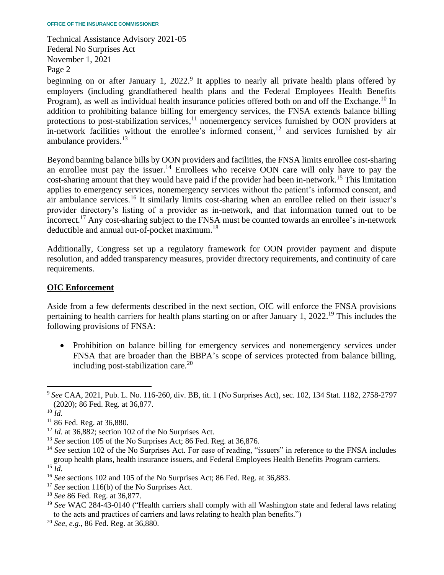beginning on or after January 1, 2022.<sup>9</sup> It applies to nearly all private health plans offered by addition to prohibiting balance billing for emergency services, the FNSA extends balance billing protections to post-stabilization services,<sup>11</sup> nonemergency services furnished by OON providers at employers (including grandfathered health plans and the Federal Employees Health Benefits Program), as well as individual health insurance policies offered both on and off the [Exchange.](https://Exchange.10)<sup>10</sup> In in-network facilities without the enrollee's informed consent, 12 and services furnished by air ambulance [providers.](https://providers.13) 13

an enrollee must pay the [issuer.](https://issuer.14)<sup>14</sup> Enrollees who receive OON care will only have to pay the cost-sharing amount that they would have paid if the provider had been [in-network.](https://in-network.15)<sup>15</sup> This limitation [incorrect.](https://incorrect.17)<sup>17</sup> Any cost-sharing subject to the FNSA must be counted towards an enrollee's in-network Beyond banning balance bills by OON providers and facilities, the FNSA limits enrollee cost-sharing applies to emergency services, nonemergency services without the patient's informed consent, and air ambulance [services.](https://services.16)<sup>16</sup> It similarly limits cost-sharing when an enrollee relied on their issuer's provider directory's listing of a provider as in-network, and that information turned out to be deductible and annual out-of-pocket [maximum.](https://maximum.18)<sup>18</sup>

Additionally, Congress set up a regulatory framework for OON provider payment and dispute resolution, and added transparency measures, provider directory requirements, and continuity of care requirements.

#### **OIC Enforcement**

 Aside from a few deferments described in the next section, OIC will enforce the FNSA provisions pertaining to health carriers for health plans starting on or after January 1, 2022.<sup>19</sup> This includes the following provisions of FNSA:

 • Prohibition on balance billing for emergency services and nonemergency services under FNSA that are broader than the BBPA's scope of services protected from balance billing, including post-stabilization care. $20$ 

<sup>9</sup>*See* CAA, 2021, Pub. L. No. 116-260, div. BB, tit. 1 (No Surprises Act), sec. 102, 134 Stat. 1182, 2758-2797 (2020); 86 Fed. Reg*.* at 36,877.

 $^{10}$  *Id.* 

 $11$  86 Fed. Reg. at 36,880.

<sup>&</sup>lt;sup>12</sup> *Id.* at 36,882; section 102 of the No Surprises Act.

<sup>13</sup>*See* section 105 of the No Surprises Act; 86 Fed. Reg. at 36,876.

<sup>&</sup>lt;sup>14</sup> See section 102 of the No Surprises Act. For ease of reading, "issuers" in reference to the FNSA includes group health plans, health insurance issuers, and Federal Employees Health Benefits Program carriers.

 $^{15}$ *Id.* 

<sup>16</sup>*See* sections 102 and 105 of the No Surprises Act; 86 Fed. Reg. at 36,883.

<sup>17</sup>*See* section 116(b) of the No Surprises Act.

<sup>18</sup>*See* 86 Fed. Reg. at 36,877.

<sup>&</sup>lt;sup>19</sup> See WAC 284-43-0140 ("Health carriers shall comply with all Washington state and federal laws relating to the acts and practices of carriers and laws relating to health plan benefits.")

<sup>20</sup> *See, e.g.*, 86 Fed. Reg. at 36,880.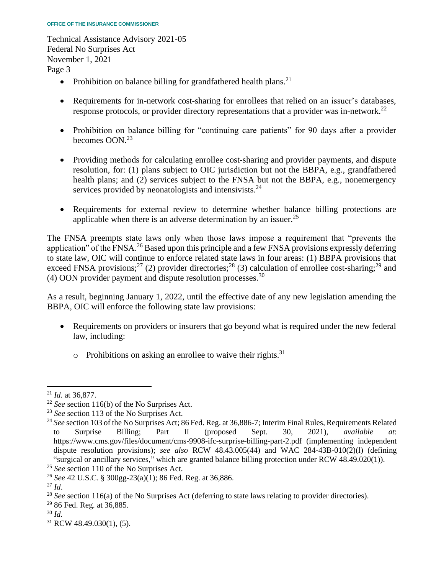- Prohibition on balance billing for grandfathered health [plans.](https://plans.21)<sup>21</sup>
- Requirements for in-network cost-sharing for enrollees that relied on an issuer's databases, response protocols, or provider directory representations that a provider was [in-network.](https://in-network.22)<sup>22</sup>
- • Prohibition on balance billing for "continuing care patients" for 90 days after a provider becomes OON.<sup>23</sup>
- Providing methods for calculating enrollee cost-sharing and provider payments, and dispute resolution, for: (1) plans subject to OIC jurisdiction but not the BBPA, e.g., grandfathered health plans; and (2) services subject to the FNSA but not the BBPA, e.g., nonemergency services provided by neonatologists and [intensivists.](https://intensivists.24)<sup>24</sup>
- • Requirements for external review to determine whether balance billing protections are applicable when there is an adverse determination by an [issuer.](https://issuer.25)<sup>25</sup>

 The FNSA preempts state laws only when those laws impose a requirement that "prevents the application" of the FNSA.<sup>26</sup> Based upon this principle and a few FNSA provisions expressly deferring to state law, OIC will continue to enforce related state laws in four areas: (1) BBPA provisions that exceed FNSA provisions;<sup>27</sup> (2) provider directories;<sup>28</sup> (3) calculation of enrollee cost-sharing;<sup>29</sup> and (4) OON provider payment and dispute resolution [processes.](https://processes.30)<sup>30</sup>

 As a result, beginning January 1, 2022, until the effective date of any new legislation amending the BBPA, OIC will enforce the following state law provisions:

- Requirements on providers or insurers that go beyond what is required under the new federal law, including:
	- $\circ$  Prohibitions on asking an enrollee to waive their [rights.](https://rights.31)<sup>31</sup>

 $31$  RCW 48.49.030(1), (5).

<sup>&</sup>lt;sup>21</sup> *Id.* at 36,877.<br><sup>22</sup> *See* section 116(b) of the No Surprises Act.

<sup>&</sup>lt;sup>23</sup> See section 113 of the No Surprises Act.

<sup>&</sup>lt;sup>24</sup> See section 103 of the No Surprises Act; 86 Fed. Reg. at 36,886-7; Interim Final Rules, Requirements Related Surprise dispute resolution provisions); *see also* RCW 48.43.005(44) and WAC 284-43B-010(2)(l) (defining to Surprise Billing; Part II (proposed Sept. 30, 2021), *available at*: <https://www.cms.gov/files/document/cms-9908-ifc-surprise-billing-part-2.pdf> (implementing independent "surgical or ancillary services," which are granted balance billing protection under RCW 48.49.020(1)).

<sup>25</sup>*See* section 110 of the No Surprises Act.

<sup>26</sup>*See* 42 U.S.C. § 300gg-23(a)(1); 86 Fed. Reg. at 36,886.

<sup>&</sup>lt;sup>27</sup> *Id*.<br><sup>28</sup> *See* section 116(a) of the No Surprises Act (deferring to state laws relating to provider directories).

<sup>&</sup>lt;sup>29</sup> 86 Fed. Reg. at 36,885.

<sup>30</sup>*Id.*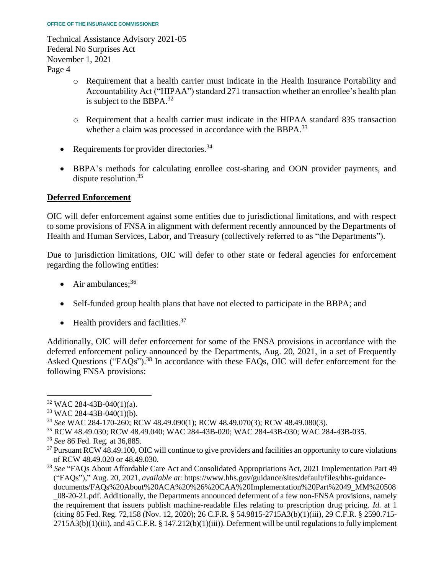- o Requirement that a health carrier must indicate in the Health Insurance Portability and Accountability Act ("HIPAA") standard 271 transaction whether an enrollee's health plan is subject to the BBPA. $32$
- o Requirement that a health carrier must indicate in the HIPAA standard 835 transaction whether a claim was processed in accordance with the BBPA.<sup>33</sup>
- Requirements for provider [directories.](https://directories.34)<sup>34</sup>
- BBPA's methods for calculating enrollee cost-sharing and OON provider payments, and dispute [resolution.](https://resolution.35)<sup>35</sup>

# **Deferred Enforcement**

 OIC will defer enforcement against some entities due to jurisdictional limitations, and with respect to some provisions of FNSA in alignment with deferment recently announced by the Departments of Health and Human Services, Labor, and Treasury (collectively referred to as "the Departments").

 Due to jurisdiction limitations, OIC will defer to other state or federal agencies for enforcement regarding the following entities:

- Air ambulances;  $36$
- Self-funded group health plans that have not elected to participate in the BBPA; and
- $\bullet$  Health providers and [facilities.](https://facilities.37)<sup>37</sup>

 Additionally, OIC will defer enforcement for some of the FNSA provisions in accordance with the deferred enforcement policy announced by the Departments, Aug. 20, 2021, in a set of Frequently Asked Questions (["FAQs"\).](https://FAQs�).38)<sup>38</sup> In accordance with these FAQs, OIC will defer enforcement for the following FNSA provisions:

 $32$  WAC 284-43B-040(1)(a).<br> $33$  WAC 284-43B-040(1)(b).

<sup>34</sup>*See* WAC 284-170-260; RCW 48.49.090(1); RCW 48.49.070(3); RCW 48.49.080(3).

<sup>35</sup> RCW 48.49.030; RCW 48.49.040; WAC 284-43B-020; WAC 284-43B-030; WAC 284-43B-035.

<sup>36</sup>*See* 86 Fed. Reg*.* at 36,885.

<sup>&</sup>lt;sup>37</sup> Pursuant RCW 48.49.100, OIC will continue to give providers and facilities an opportunity to cure violations of RCW 48.49.020 or 48.49.030.

 \_08-20-21.pdf. Additionally, the Departments announced deferment of a few non-FNSA provisions, namely the requirement that issuers publish machine-readable files relating to prescription drug pricing. *Id.* at 1 2715A3(b)(1)(iii), and 45 C.F.R. § 147.212(b)(1)(iii)). Deferment will be until regulations to fully implement <sup>38</sup>*See* "FAQs About Affordable Care Act and Consolidated Appropriations Act, 2021 Implementation Part 49 ("FAQs")," Aug. 20, 2021, *available at*:<https://www.hhs.gov/guidance/sites/default/files/hhs-guidance>documents/FAQs%20About%20ACA%20%26%20CAA%20Implementation%20Part%2049\_MM%20508 (citing 85 Fed. Reg. 72,158 (Nov. 12, 2020); 26 C.F.R. § 54.9815-2715A3(b)(1)(iii), 29 C.F.R. § 2590.715-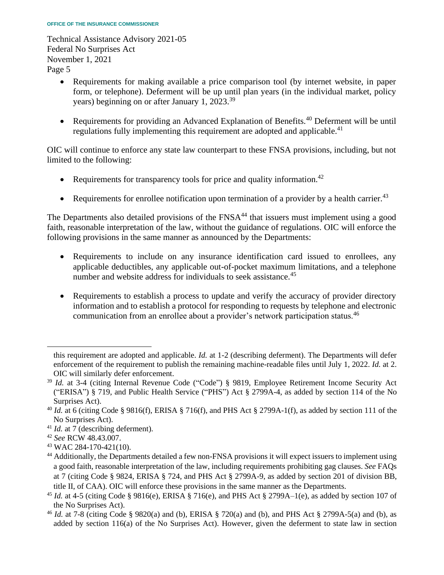- • Requirements for making available a price comparison tool (by internet website, in paper form, or telephone). Deferment will be up until plan years (in the individual market, policy years) beginning on or after January 1, 2023.<sup>39</sup>
- Requirements for providing an Advanced Explanation of [Benefits.](https://Benefits.40)<sup>40</sup> Deferment will be until regulations fully implementing this requirement are adopted and [applicable.](https://applicable.41)<sup>41</sup>

 OIC will continue to enforce any state law counterpart to these FNSA provisions, including, but not limited to the following:

- Requirements for transparency tools for price and quality information.<sup>42</sup>
- Requirements for enrollee notification upon termination of a provider by a health [carrier.](https://carrier.43)<sup>43</sup>

The Departments also detailed provisions of the  $FNSA<sup>44</sup>$  that issuers must implement using a good faith, reasonable interpretation of the law, without the guidance of regulations. OIC will enforce the following provisions in the same manner as announced by the Departments:

- applicable deductibles, any applicable out-of-pocket maximum limitations, and a telephone • Requirements to include on any insurance identification card issued to enrollees, any number and website address for individuals to seek [assistance.](https://assistance.45)<sup>45</sup>
- Requirements to establish a process to update and verify the accuracy of provider directory information and to establish a protocol for responding to requests by telephone and electronic communication from an enrollee about a provider's network participation [status.](https://status.46)<sup>46</sup>

 this requirement are adopted and applicable. *Id.* at 1-2 (describing deferment). The Departments will defer enforcement of the requirement to publish the remaining machine-readable files until July 1, 2022. *Id.* at 2. OIC will similarly defer enforcement.

<sup>&</sup>lt;sup>39</sup> Id. at 3-4 (citing Internal Revenue Code ("Code") § 9819, Employee Retirement Income Security Act ("ERISA") § 719, and Public Health Service ("PHS") Act § 2799A-4, as added by section 114 of the No Surprises Act).

 <sup>40</sup>*Id.* at 6 (citing Code § 9816(f), ERISA § 716(f), and PHS Act § 2799A-1(f), as added by section 111 of the No Surprises Act).

<sup>&</sup>lt;sup>41</sup> *Id.* at 7 (describing deferment).

<sup>42</sup>*See* RCW 48.43.007.

<sup>43</sup> WAC 284-170-421(10).

<sup>&</sup>lt;sup>44</sup> Additionally, the Departments detailed a few non-FNSA provisions it will expect issuers to implement using a good faith, reasonable interpretation of the law, including requirements prohibiting gag clauses. *See* FAQs title II, of CAA). OIC will enforce these provisions in the same manner as the Departments. at 7 (citing Code § 9824, ERISA § 724, and PHS Act § 2799A-9, as added by section 201 of division BB,

<sup>45</sup>*Id.* at 4-5 (citing Code § 9816(e), ERISA § 716(e), and PHS Act § 2799A–1(e), as added by section 107 of the No Surprises Act).

 <sup>46</sup>*Id.* at 7-8 (citing Code § 9820(a) and (b), ERISA § 720(a) and (b), and PHS Act § 2799A-5(a) and (b), as added by section 116(a) of the No Surprises Act). However, given the deferment to state law in section